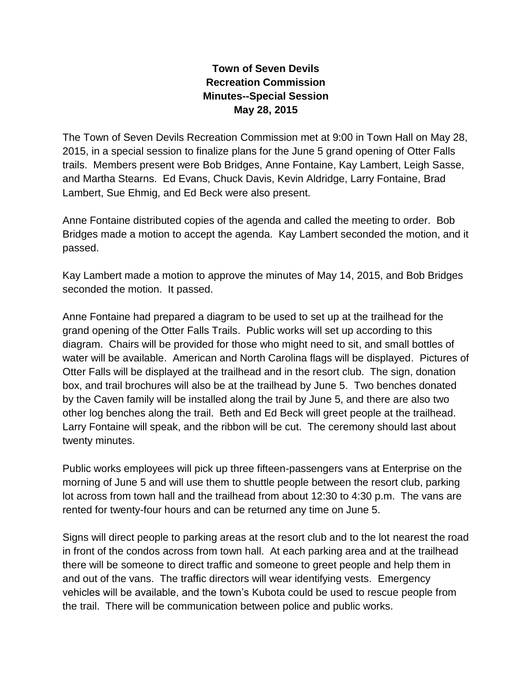## **Town of Seven Devils Recreation Commission Minutes--Special Session May 28, 2015**

The Town of Seven Devils Recreation Commission met at 9:00 in Town Hall on May 28, 2015, in a special session to finalize plans for the June 5 grand opening of Otter Falls trails. Members present were Bob Bridges, Anne Fontaine, Kay Lambert, Leigh Sasse, and Martha Stearns. Ed Evans, Chuck Davis, Kevin Aldridge, Larry Fontaine, Brad Lambert, Sue Ehmig, and Ed Beck were also present.

Anne Fontaine distributed copies of the agenda and called the meeting to order. Bob Bridges made a motion to accept the agenda. Kay Lambert seconded the motion, and it passed.

Kay Lambert made a motion to approve the minutes of May 14, 2015, and Bob Bridges seconded the motion. It passed.

Anne Fontaine had prepared a diagram to be used to set up at the trailhead for the grand opening of the Otter Falls Trails. Public works will set up according to this diagram. Chairs will be provided for those who might need to sit, and small bottles of water will be available. American and North Carolina flags will be displayed. Pictures of Otter Falls will be displayed at the trailhead and in the resort club. The sign, donation box, and trail brochures will also be at the trailhead by June 5. Two benches donated by the Caven family will be installed along the trail by June 5, and there are also two other log benches along the trail. Beth and Ed Beck will greet people at the trailhead. Larry Fontaine will speak, and the ribbon will be cut. The ceremony should last about twenty minutes.

Public works employees will pick up three fifteen-passengers vans at Enterprise on the morning of June 5 and will use them to shuttle people between the resort club, parking lot across from town hall and the trailhead from about 12:30 to 4:30 p.m. The vans are rented for twenty-four hours and can be returned any time on June 5.

Signs will direct people to parking areas at the resort club and to the lot nearest the road in front of the condos across from town hall. At each parking area and at the trailhead there will be someone to direct traffic and someone to greet people and help them in and out of the vans. The traffic directors will wear identifying vests. Emergency vehicles will be available, and the town's Kubota could be used to rescue people from the trail. There will be communication between police and public works.